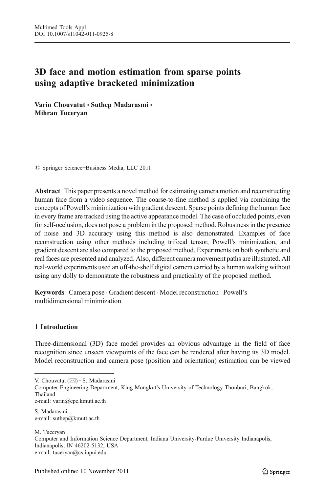# 3D face and motion estimation from sparse points using adaptive bracketed minimization

Varin Chouvatut • Suthep Madarasmi • Mihran Tuceryan

 $\circ$  Springer Science+Business Media, LLC 2011

Abstract This paper presents a novel method for estimating camera motion and reconstructing human face from a video sequence. The coarse-to-fine method is applied via combining the concepts of Powell's minimization with gradient descent. Sparse points defining the human face in every frame are tracked using the active appearance model. The case of occluded points, even for self-occlusion, does not pose a problem in the proposed method. Robustness in the presence of noise and 3D accuracy using this method is also demonstrated. Examples of face reconstruction using other methods including trifocal tensor, Powell's minimization, and gradient descent are also compared to the proposed method. Experiments on both synthetic and real faces are presented and analyzed. Also, different camera movement paths are illustrated. All real-world experiments used an off-the-shelf digital camera carried by a human walking without using any dolly to demonstrate the robustness and practicality of the proposed method.

Keywords Camera pose . Gradient descent . Model reconstruction . Powell's multidimensional minimization

# 1 Introduction

Three-dimensional (3D) face model provides an obvious advantage in the field of face recognition since unseen viewpoints of the face can be rendered after having its 3D model. Model reconstruction and camera pose (position and orientation) estimation can be viewed

V. Chouvatut  $(\boxtimes) \cdot$  S. Madarasmi

Computer Engineering Department, King Mongkut's University of Technology Thonburi, Bangkok, Thailand e-mail: varin@cpe.kmutt.ac.th

S. Madarasmi e-mail: suthep@kmutt.ac.th

M. Tuceryan Computer and Information Science Department, Indiana University-Purdue University Indianapolis, Indianapolis, IN 46202-5132, USA e-mail: tuceryan@cs.iupui.edu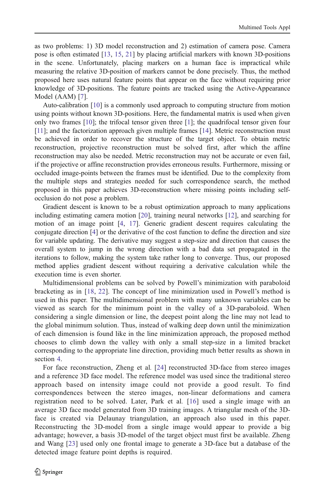as two problems: 1) 3D model reconstruction and 2) estimation of camera pose. Camera pose is often estimated [\[13,](#page-19-0) [15,](#page-19-0) [21](#page-19-0)] by placing artificial markers with known 3D-positions in the scene. Unfortunately, placing markers on a human face is impractical while measuring the relative 3D-position of markers cannot be done precisely. Thus, the method proposed here uses natural feature points that appear on the face without requiring prior knowledge of 3D-positions. The feature points are tracked using the Active-Appearance Model (AAM) [[7](#page-19-0)].

Auto-calibration [[10](#page-19-0)] is a commonly used approach to computing structure from motion using points without known 3D-positions. Here, the fundamental matrix is used when given only two frames [\[10\]](#page-19-0); the trifocal tensor given three [\[1\]](#page-19-0); the quadrifocal tensor given four [[11](#page-19-0)]; and the factorization approach given multiple frames [\[14\]](#page-19-0). Metric reconstruction must be achieved in order to recover the structure of the target object. To obtain metric reconstruction, projective reconstruction must be solved first, after which the affine reconstruction may also be needed. Metric reconstruction may not be accurate or even fail, if the projective or affine reconstruction provides erroneous results. Furthermore, missing or occluded image-points between the frames must be identified. Due to the complexity from the multiple steps and strategies needed for such correspondence search, the method proposed in this paper achieves 3D-reconstruction where missing points including selfocclusion do not pose a problem.

Gradient descent is known to be a robust optimization approach to many applications including estimating camera motion [\[20\]](#page-19-0), training neural networks [[12](#page-19-0)], and searching for motion of an image point [\[4,](#page-19-0) [17](#page-19-0)]. Generic gradient descent requires calculating the conjugate direction [[4\]](#page-19-0) or the derivative of the cost function to define the direction and size for variable updating. The derivative may suggest a step-size and direction that causes the overall system to jump in the wrong direction with a bad data set propagated in the iterations to follow, making the system take rather long to converge. Thus, our proposed method applies gradient descent without requiring a derivative calculation while the execution time is even shorter.

Multidimensional problems can be solved by Powell's minimization with paraboloid bracketing as in [[18](#page-19-0), [22\]](#page-19-0). The concept of line minimization used in Powell's method is used in this paper. The multidimensional problem with many unknown variables can be viewed as search for the minimum point in the valley of a 3D-paraboloid. When considering a single dimension or line, the deepest point along the line may not lead to the global minimum solution. Thus, instead of walking deep down until the minimization of each dimension is found like in the line minimization approach, the proposed method chooses to climb down the valley with only a small step-size in a limited bracket corresponding to the appropriate line direction, providing much better results as shown in section [4.](#page-14-0)

For face reconstruction, Zheng et al. [\[24\]](#page-19-0) reconstructed 3D-face from stereo images and a reference 3D face model. The reference model was used since the traditional stereo approach based on intensity image could not provide a good result. To find correspondences between the stereo images, non-linear deformations and camera registration need to be solved. Later, Park et al. [\[16\]](#page-19-0) used a single image with an average 3D face model generated from 3D training images. A triangular mesh of the 3Dface is created via Delaunay triangulation, an approach also used in this paper. Reconstructing the 3D-model from a single image would appear to provide a big advantage; however, a basis 3D-model of the target object must first be available. Zheng and Wang [[23](#page-19-0)] used only one frontal image to generate a 3D-face but a database of the detected image feature point depths is required.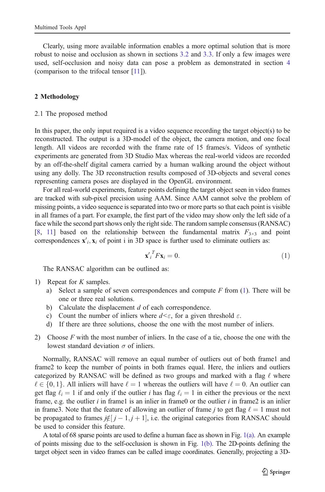<span id="page-2-0"></span>Clearly, using more available information enables a more optimal solution that is more robust to noise and occlusion as shown in sections [3.2](#page-11-0) and [3.3.](#page-12-0) If only a few images were used, self-occlusion and noisy data can pose a problem as demonstrated in section [4](#page-14-0) (comparison to the trifocal tensor [[11\]](#page-19-0)).

#### 2 Methodology

#### 2.1 The proposed method

In this paper, the only input required is a video sequence recording the target object(s) to be reconstructed. The output is a 3D-model of the object, the camera motion, and one focal length. All videos are recorded with the frame rate of 15 frames/s. Videos of synthetic experiments are generated from 3D Studio Max whereas the real-world videos are recorded by an off-the-shelf digital camera carried by a human walking around the object without using any dolly. The 3D reconstruction results composed of 3D-objects and several cones representing camera poses are displayed in the OpenGL environment.

For all real-world experiments, feature points defining the target object seen in video frames are tracked with sub-pixel precision using AAM. Since AAM cannot solve the problem of missing points, a video sequence is separated into two or more parts so that each point is visible in all frames of a part. For example, the first part of the video may show only the left side of a face while the second part shows only the right side. The random sample consensus (RANSAC) [[8,](#page-19-0) [11](#page-19-0)] based on the relationship between the fundamental matrix  $F_{3\times 3}$  and point correspondences  $\mathbf{x}'_i, \mathbf{x}_i$  of point i in 3D space is further used to eliminate outliers as:

$$
\mathbf{x'}_i^T F \mathbf{x}_i = 0. \tag{1}
$$

The RANSAC algorithm can be outlined as:

- 1) Repeat for K samples.
	- a) Select a sample of seven correspondences and compute  $F$  from (1). There will be one or three real solutions.
	- b) Calculate the displacement  $d$  of each correspondence.
	- c) Count the number of inliers where  $d \leq \varepsilon$ , for a given threshold  $\varepsilon$ .
	- d) If there are three solutions, choose the one with the most number of inliers.
- 2) Choose  $F$  with the most number of inliers. In the case of a tie, choose the one with the lowest standard deviation  $\sigma$  of inliers.

Normally, RANSAC will remove an equal number of outliers out of both frame1 and frame2 to keep the number of points in both frames equal. Here, the inliers and outliers categorized by RANSAC will be defined as two groups and marked with a flag  $\ell$  where  $\ell \in \{0, 1\}$ . All inliers will have  $\ell = 1$  whereas the outliers will have  $\ell = 0$ . An outlier can get flag  $\ell_i = 1$  if and only if the outlier i has flag  $\ell_i = 1$  in either the previous or the next frame, e.g. the outlier  $i$  in framel is an inlier in frame0 or the outlier  $i$  in frame2 is an inlier in frame3. Note that the feature of allowing an outlier of frame j to get flag  $\ell = 1$  must not be propagated to frames  $j \notin [j-1,j+1]$ , i.e. the original categories from RANSAC should<br>be used to consider this feature be used to consider this feature.

A total of 68 sparse points are used to define a human face as shown in Fig. [1\(a\)](#page-3-0). An example of points missing due to the self-occlusion is shown in Fig. [1\(b\)](#page-3-0). The 2D-points defining the target object seen in video frames can be called image coordinates. Generally, projecting a 3D-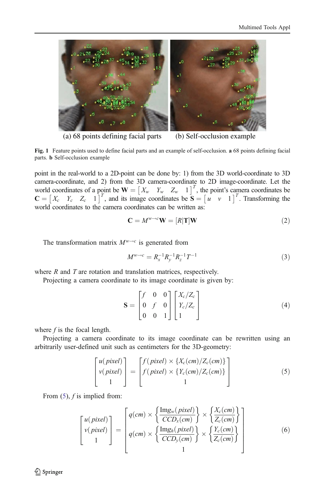<span id="page-3-0"></span>

(a) 68 points defining facial parts (b) Self-occlusion example

Fig. 1 Feature points used to define facial parts and an example of self-occlusion. a 68 points defining facial parts. b Self-occlusion example

point in the real-world to a 2D-point can be done by: 1) from the 3D world-coordinate to 3D camera-coordinate, and 2) from the 3D camera-coordinate to 2D image-coordinate. Let the world coordinates of a point be  $\mathbf{W} = \begin{bmatrix} X_w & Y_w & Z_w & 1 \end{bmatrix}^T$ , the point's camera coordinates be  $\mathbf{S} = \begin{bmatrix} x & y & Z & 1 \end{bmatrix}^T$ . Transforming the  $\mathbf{C} = \begin{bmatrix} X_c & Y_c & Z_c & 1 \end{bmatrix}^T$ , and its image coordinates be  $\mathbf{S} = \begin{bmatrix} u & v & 1 \end{bmatrix}^T$ . Transforming the world coordinates to the camera coordinates can be written as: world coordinates to the camera coordinates can be written as:

$$
\mathbf{C} = M^{\mathbf{w}\to c}\mathbf{W} = [R]\mathbf{T}]\mathbf{W} \tag{2}
$$

The transformation matrix  $M^{w\rightarrow c}$  is generated from

$$
M^{\nu \to c} = R_x^{-1} R_y^{-1} R_z^{-1} T^{-1}
$$
\n(3)

where  $R$  and  $T$  are rotation and translation matrices, respectively.

Projecting a camera coordinate to its image coordinate is given by:

$$
\mathbf{S} = \begin{bmatrix} f & 0 & 0 \\ 0 & f & 0 \\ 0 & 0 & 1 \end{bmatrix} \begin{bmatrix} X_c/Z_c \\ Y_c/Z_c \\ 1 \end{bmatrix}
$$
 (4)

where  $f$  is the focal length.

Projecting a camera coordinate to its image coordinate can be rewritten using an arbitrarily user-defined unit such as centimeters for the 3D-geometry:

$$
\begin{bmatrix} u(pixel) \\ v(pixel) \\ 1 \end{bmatrix} = \begin{bmatrix} f(pixel) \times \{X_c(cm)/Z_c(cm)\} \\ f(pixel) \times \{Y_c(cm)/Z_c(cm)\} \\ 1 \end{bmatrix}
$$
 (5)

From  $(5)$ ,  $f$  is implied from:

$$
\begin{bmatrix} u(pixel) \\ v(pixel) \\ 1 \end{bmatrix} = \begin{bmatrix} q(cm) \times \left\{ \frac{\text{Im}g_w(pixel)}{CCD_x(cm)} \right\} \times \left\{ \frac{X_c(cm)}{Z_c(cm)} \right\} \\ q(cm) \times \left\{ \frac{\text{Im}g_h(pixel)}{CCD_y(cm)} \right\} \times \left\{ \frac{Y_c(cm)}{Z_c(cm)} \right\} \end{bmatrix}
$$
(6)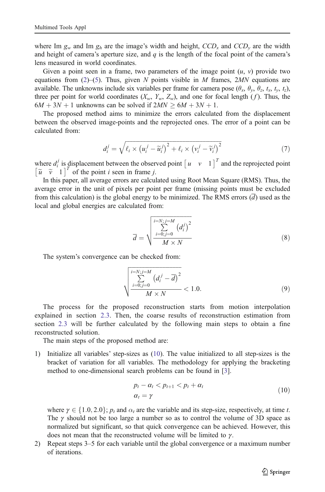<span id="page-4-0"></span>where Im  $g_w$  and Im  $g_h$  are the image's width and height,  $CCD_x$  and  $CCD_y$  are the width and height of camera's aperture size, and  $q$  is the length of the focal point of the camera's lens measured in world coordinates.

Given a point seen in a frame, two parameters of the image point  $(u, v)$  provide two equations from  $(2)$  $(2)$ –[\(5](#page-3-0)). Thus, given N points visible in M frames, 2MN equations are available. The unknowns include six variables per frame for camera pose  $(\theta_x, \theta_y, \theta_z, t_x, t_y, t_z)$ , three per point for world coordinates  $(X_w, Y_w, Z_w)$ , and one for focal length (f). Thus, the  $6M + 3N + 1$  unknowns can be solved if  $2MN \geq 6M + 3N + 1$ .

The proposed method aims to minimize the errors calculated from the displacement between the observed image-points and the reprojected ones. The error of a point can be calculated from:

$$
d_i^j = \sqrt{\ell_i \times \left(u_i^j - \widetilde{u}_i^j\right)^2 + \ell_i \times \left(v_i^j - \widetilde{v}_i^j\right)^2}
$$
(7)

where  $d_i^j$  is displacement between the observed point  $\begin{bmatrix} u & v & 1 \end{bmatrix}^T$  and the reprojected point  $\begin{bmatrix} \tilde{u} & \tilde{v} & 1 \end{bmatrix}^T$  of the point *i* seen in frame *j*.

In this paper, all average errors are calculated using Root Mean Square (RMS). Thus, the average error in the unit of pixels per point per frame (missing points must be excluded from this calculation) is the global energy to be minimized. The RMS errors  $(\overline{d})$  used as the local and global energies are calculated from:

$$
\overline{d} = \sqrt{\frac{\sum_{i=N,j=M}^{i=N} (d_i^j)^2}{\sum_{i=0,j=0}^{N} (d_i^j)^2}}
$$
(8)

The system's convergence can be checked from:

$$
\sqrt{\frac{\sum\limits_{i=0;j=0}^{i=N; j=M} (d_i^j - \overline{d})^2}{\sum\limits_{i=0;j=0}^{N,N} d_i^j}} < 1.0.
$$
 (9)

The process for the proposed reconstruction starts from motion interpolation explained in section [2.3](#page-6-0). Then, the coarse results of reconstruction estimation from section [2.3](#page-6-0) will be further calculated by the following main steps to obtain a fine reconstructed solution.

The main steps of the proposed method are:

1) Initialize all variables' step-sizes as (10). The value initialized to all step-sizes is the bracket of variation for all variables. The methodology for applying the bracketing method to one-dimensional search problems can be found in [\[3\]](#page-19-0).

$$
p_t - \alpha_t < p_{t+1} < p_t + \alpha_t
$$
\n
$$
\alpha_t = \gamma \tag{10}
$$

where  $\gamma \in \{1.0, 2.0\}$ ;  $p_t$  and  $\alpha_t$  are the variable and its step-size, respectively, at time t. The  $\gamma$  should not be too large a number so as to control the volume of 3D space as normalized but significant, so that quick convergence can be achieved. However, this does not mean that the reconstructed volume will be limited to  $\gamma$ .

2) Repeat steps 3–5 for each variable until the global convergence or a maximum number of iterations.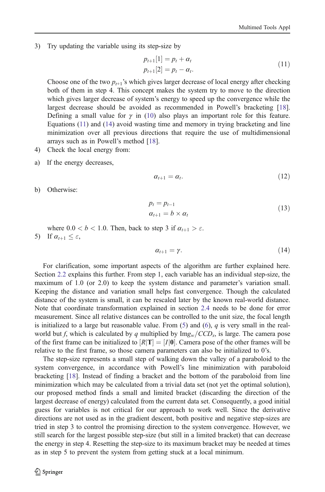<span id="page-5-0"></span>3) Try updating the variable using its step-size by

$$
p_{t+1}[1] = p_t + \alpha_t p_{t+1}[2] = p_t - \alpha_t.
$$
 (11)

Choose one of the two  $p_{t+1}$ 's which gives larger decrease of local energy after checking both of them in step 4. This concept makes the system try to move to the direction which gives larger decrease of system's energy to speed up the convergence while the largest decrease should be avoided as recommended in Powell's bracketing [[18](#page-19-0)]. Defining a small value for  $\gamma$  in [\(10\)](#page-4-0) also plays an important role for this feature. Equations (11) and (14) avoid wasting time and memory in trying bracketing and line minimization over all previous directions that require the use of multidimensional arrays such as in Powell's method [\[18\]](#page-19-0).

- 4) Check the local energy from:
- a) If the energy decreases,

$$
\alpha_{t+1} = \alpha_t. \tag{12}
$$

b) Otherwise:

$$
p_t = p_{t-1}
$$
  
\n
$$
\alpha_{t+1} = b \times \alpha_t
$$
\n(13)

where  $0.0 < b < 1.0$ . Then, back to step 3 if  $\alpha_{t+1} > \varepsilon$ .

5) If  $\alpha_{t+1} \leq \varepsilon$ ,

$$
\alpha_{t+1} = \gamma. \tag{14}
$$

For clarification, some important aspects of the algorithm are further explained here. Section [2.2](#page-6-0) explains this further. From step 1, each variable has an individual step-size, the maximum of 1.0 (or 2.0) to keep the system distance and parameter's variation small. Keeping the distance and variation small helps fast convergence. Though the calculated distance of the system is small, it can be rescaled later by the known real-world distance. Note that coordinate transformation explained in section [2.4](#page-8-0) needs to be done for error measurement. Since all relative distances can be controlled to the unit size, the focal length is initialized to a large but reasonable value. From  $(5)$  $(5)$  and  $(6)$ , q is very small in the realworld but f, which is calculated by q multiplied by  $\text{Img}_w/CCD_x$ , is large. The camera pose of the first frame can be initialized to  $[R|T] = [I]0]$ . Camera pose of the other frames will be relative to the first frame, so those camera parameters can also be initialized to 0's.

The step-size represents a small step of walking down the valley of a paraboloid to the system convergence, in accordance with Powell's line minimization with paraboloid bracketing [\[18\]](#page-19-0). Instead of finding a bracket and the bottom of the paraboloid from line minimization which may be calculated from a trivial data set (not yet the optimal solution), our proposed method finds a small and limited bracket (discarding the direction of the largest decrease of energy) calculated from the current data set. Consequently, a good initial guess for variables is not critical for our approach to work well. Since the derivative directions are not used as in the gradient descent, both positive and negative step-sizes are tried in step 3 to control the promising direction to the system convergence. However, we still search for the largest possible step-size (but still in a limited bracket) that can decrease the energy in step 4. Resetting the step-size to its maximum bracket may be needed at times as in step 5 to prevent the system from getting stuck at a local minimum.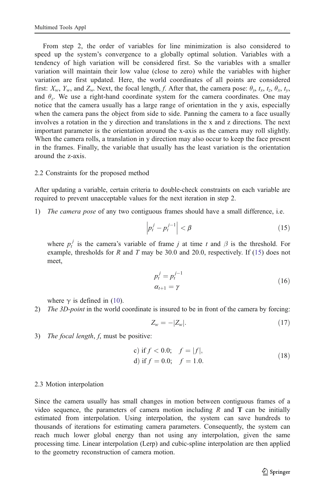<span id="page-6-0"></span>From step 2, the order of variables for line minimization is also considered to speed up the system's convergence to a globally optimal solution. Variables with a tendency of high variation will be considered first. So the variables with a smaller variation will maintain their low value (close to zero) while the variables with higher variation are first updated. Here, the world coordinates of all points are considered first:  $X_w$ ,  $Y_w$ , and  $Z_w$ . Next, the focal length, f. After that, the camera pose:  $\theta_v$ ,  $t_x$ ,  $t_z$ ,  $\theta_x$ ,  $t_v$ , and  $\theta_z$ . We use a right-hand coordinate system for the camera coordinates. One may notice that the camera usually has a large range of orientation in the y axis, especially when the camera pans the object from side to side. Panning the camera to a face usually involves a rotation in the y direction and translations in the x and z directions. The next important parameter is the orientation around the x-axis as the camera may roll slightly. When the camera rolls, a translation in y direction may also occur to keep the face present in the frames. Finally, the variable that usually has the least variation is the orientation around the z-axis.

# 2.2 Constraints for the proposed method

After updating a variable, certain criteria to double-check constraints on each variable are required to prevent unacceptable values for the next iteration in step 2.

1) The camera pose of any two contiguous frames should have a small difference, i.e.

$$
\left| p_t^j - p_t^{j-1} \right| < \beta \tag{15}
$$

where  $p_t^j$  is the camera's variable of frame j at time t and  $\beta$  is the threshold. For example, thresholds for R and T may be 30.0 and 20.0, respectively. If  $(15)$  does not meet,

$$
p_t^j = p_t^{j-1}
$$
  
\n
$$
\alpha_{t+1} = \gamma
$$
\n(16)

where  $\gamma$  is defined in ([10](#page-4-0)).

2) The 3D-point in the world coordinate is insured to be in front of the camera by forcing:

$$
Z_w = -|Z_w|.\tag{17}
$$

3) The focal length, f, must be positive:

c) if 
$$
f < 0.0
$$
;  $f = |f|$ ,  
d) if  $f = 0.0$ ;  $f = 1.0$ . (18)

#### 2.3 Motion interpolation

Since the camera usually has small changes in motion between contiguous frames of a video sequence, the parameters of camera motion including  $R$  and  $T$  can be initially estimated from interpolation. Using interpolation, the system can save hundreds to thousands of iterations for estimating camera parameters. Consequently, the system can reach much lower global energy than not using any interpolation, given the same processing time. Linear interpolation (Lerp) and cubic-spline interpolation are then applied to the geometry reconstruction of camera motion.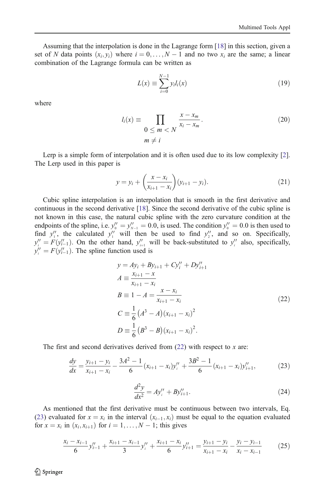Assuming that the interpolation is done in the Lagrange form [\[18\]](#page-19-0) in this section, given a set of N data points  $(x_i, y_i)$  where  $i = 0, \ldots, N - 1$  and no two  $x_i$  are the same; a linear combination of the Lagrange formula can be written as combination of the Lagrange formula can be written as

$$
L(x) \equiv \sum_{i=0}^{N-1} y_i l_i(x)
$$
 (19)

where

$$
l_i(x) \equiv \prod_{\substack{0 \le m < N}} \frac{x - x_m}{x_i - x_m}.
$$
\n
$$
m \ne i
$$
\n(20)

Lerp is a simple form of interpolation and it is often used due to its low complexity [\[2](#page-19-0)]. The Lerp used in this paper is

$$
y = y_i + \left(\frac{x - x_i}{x_{i+1} - x_i}\right)(y_{i+1} - y_i).
$$
 (21)

Cubic spline interpolation is an interpolation that is smooth in the first derivative and continuous in the second derivative [[18](#page-19-0)]. Since the second derivative of the cubic spline is not known in this case, the natural cubic spline with the zero curvature condition at the endpoints of the spline, i.e.  $y_0'' = y_{N-1}'' = 0.0$ , is used. The condition  $y_0'' = 0.0$  is then used to find  $y_1''$ , the calculated  $y_1''$  will then be used to find  $y_2''$ , and so on. Specifically,  $y_i'' = F(y_{i-1}'')$ . On the other hand,  $y_{i+1}''$  will be back-substituted to  $y_i''$  also, specifically,  $y_i'' = F(y_i'', y_i)$ . The spline function used is  $y_i'' = F(y_{i-1}'')$ . The spline function used is

$$
y = Ay_i + By_{i+1} + Cy_i'' + Dy_{i+1}''
$$
  
\n
$$
A \equiv \frac{x_{i+1} - x}{x_{i+1} - x_i}
$$
  
\n
$$
B \equiv 1 - A = \frac{x - x_i}{x_{i+1} - x_i}
$$
  
\n
$$
C \equiv \frac{1}{6} (A^3 - A) (x_{i+1} - x_i)^2
$$
  
\n
$$
D \equiv \frac{1}{6} (B^3 - B) (x_{i+1} - x_i)^2.
$$
\n(22)

The first and second derivatives derived from  $(22)$  with respect to x are:

$$
\frac{dy}{dx} = \frac{y_{i+1} - y_i}{x_{i+1} - x_i} - \frac{3A^2 - 1}{6} (x_{i+1} - x_i) y_i'' + \frac{3B^2 - 1}{6} (x_{i+1} - x_i) y_{i+1}'',
$$
(23)

$$
\frac{d^2y}{dx^2} = Ay_i'' + By_{i+1}''.\tag{24}
$$

As mentioned that the first derivative must be continuous between two intervals, Eq. (23) evaluated for  $x = x_i$  in the interval  $(x_{i-1}, x_i)$  must be equal to the equation evaluated<br>for  $x = x_i$  in  $(x_i, x_{i+1})$  for  $i = 1, ..., N-1$ ; this gives for  $x = x_i$  in  $(x_i, x_{i+1})$  for  $i = 1, ..., N - 1$ ; this gives

$$
\frac{x_i - x_{i-1}}{6} y''_{i-1} + \frac{x_{i+1} - x_{i-1}}{3} y''_i + \frac{x_{i+1} - x_i}{6} y''_{i+1} = \frac{y_{i+1} - y_i}{x_{i+1} - x_i} - \frac{y_i - y_{i-1}}{x_i - x_{i-1}} \tag{25}
$$

 $\mathcal{D}$  Springer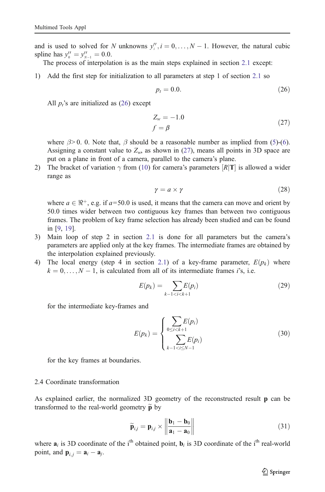<span id="page-8-0"></span>and is used to solved for N unknowns  $y''_i$ ,  $i = 0, ..., N - 1$ . However, the natural cubic spline has  $y'' = y'' = 0.0$ spline has  $y_0'' = y_{N-1}'' = 0.0$ .<br>The process of interpolary

The process of interpolation is as the main steps explained in section [2.1](#page-2-0) except:

1) Add the first step for initialization to all parameters at step 1 of section [2.1](#page-2-0) so

$$
p_t = 0.0.\t(26)
$$

All  $p_i$ 's are initialized as (26) except

$$
Z_w = -1.0
$$
  

$$
f = \beta
$$
 (27)

where  $\beta$  > 0. 0. Note that,  $\beta$  should be a reasonable number as implied from ([5](#page-3-0))-[\(6](#page-3-0)). Assigning a constant value to  $Z_w$ , as shown in (27), means all points in 3D space are put on a plane in front of a camera, parallel to the camera's plane.

2) The bracket of variation  $\gamma$  from ([10](#page-4-0)) for camera's parameters  $[R|T]$  is allowed a wider range as

$$
\gamma = a \times \gamma \tag{28}
$$

where  $a \in \mathbb{R}^+$ , e.g. if  $a=50.0$  is used, it means that the camera can move and orient by 50.0 times wider between two contiguous key frames than between two contiguous frames. The problem of key frame selection has already been studied and can be found in [\[9](#page-19-0), [19](#page-19-0)].

- 3) Main loop of step 2 in section [2.1](#page-2-0) is done for all parameters but the camera's parameters are applied only at the key frames. The intermediate frames are obtained by the interpolation explained previously.
- 4) The local energy (step 4 in section [2.1](#page-2-0)) of a key-frame parameter,  $E(p_k)$  where  $k = 0, \dots, N - 1$ , is calculated from all of its intermediate frames *i*'s, i.e.

$$
E(p_k) = \sum_{k-1 < i < k+1} E(p_i) \tag{29}
$$

for the intermediate key-frames and

$$
E(p_k) = \begin{cases} \sum_{0 \le i < k+1} E(p_i) \\ \sum_{k-1 < i \le N-1} E(p_i) \end{cases} \tag{30}
$$

for the key frames at boundaries.

#### 2.4 Coordinate transformation

As explained earlier, the normalized 3D geometry of the reconstructed result p can be transformed to the real-world geometry  $\tilde{\mathbf{p}}$  by

$$
\widetilde{\mathbf{p}}_{i,j} = \mathbf{p}_{i,j} \times \left\| \frac{\mathbf{b}_1 - \mathbf{b}_0}{\mathbf{a}_1 - \mathbf{a}_0} \right\|
$$
\n(31)

where  $a_i$  is 3D coordinate of the i<sup>th</sup> obtained point,  $b_i$  is 3D coordinate of the i<sup>th</sup> real-world point, and  $\mathbf{p}_{i,j} = \mathbf{a}_i - \mathbf{a}_j$ .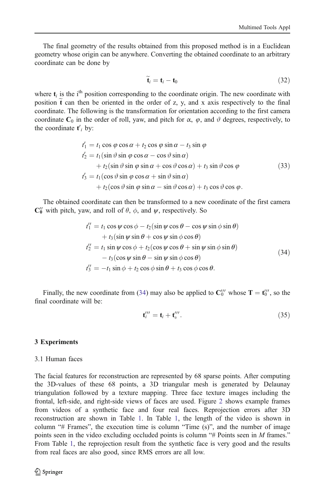The final geometry of the results obtained from this proposed method is in a Euclidean geometry whose origin can be anywhere. Converting the obtained coordinate to an arbitrary coordinate can be done by

$$
\widetilde{\mathbf{t}}_i = \mathbf{t}_i - \mathbf{t}_0 \tag{32}
$$

where  $t_i$  is the i<sup>th</sup> position corresponding to the coordinate origin. The new coordinate with position  $\tilde{t}$  can then be oriented in the order of z, y, and x axis respectively to the final coordinate. The following is the transformation for orientation according to the first camera coordinate  $C_0$  in the order of roll, yaw, and pitch for  $\alpha$ ,  $\varphi$ , and  $\vartheta$  degrees, respectively, to the coordinate  $t_i$  by:

$$
t'_1 = t_1 \cos \varphi \cos \alpha + t_2 \cos \varphi \sin \alpha - t_3 \sin \varphi
$$
  
\n
$$
t'_2 = t_1 (\sin \vartheta \sin \varphi \cos \alpha - \cos \vartheta \sin \alpha)
$$
  
\n
$$
+ t_2 (\sin \vartheta \sin \varphi \sin \alpha + \cos \vartheta \cos \alpha) + t_3 \sin \vartheta \cos \varphi
$$
  
\n
$$
t'_3 = t_1 (\cos \vartheta \sin \varphi \cos \alpha + \sin \vartheta \sin \alpha)
$$
  
\n
$$
+ t_2 (\cos \vartheta \sin \varphi \sin \alpha - \sin \vartheta \cos \alpha) + t_3 \cos \vartheta \cos \varphi.
$$
  
\n(33)

The obtained coordinate can then be transformed to a new coordinate of the first camera  $\mathbb{C}_0^{\prime\prime}$  with pitch, yaw, and roll of  $\theta$ ,  $\phi$ , and  $\psi$ , respectively. So

$$
t_1'' = t_1 \cos \psi \cos \phi - t_2 (\sin \psi \cos \theta - \cos \psi \sin \phi \sin \theta)
$$
  
+  $t_3 (\sin \psi \sin \theta + \cos \psi \sin \phi \cos \theta)$   
 $t_2'' = t_1 \sin \psi \cos \phi + t_2 (\cos \psi \cos \theta + \sin \psi \sin \phi \sin \theta)$   
-  $t_3 (\cos \psi \sin \theta - \sin \psi \sin \phi \cos \theta)$   
 $t_3'' = -t_1 \sin \phi + t_2 \cos \phi \sin \theta + t_3 \cos \phi \cos \theta.$  (34)

Finally, the new coordinate from (34) may also be applied to  $\mathbb{C}_0^{\prime\prime\prime}$  whose  $\mathbb{T} = \mathfrak{t}_0^{\prime\prime\prime}$ , so the final coordinate will be:

$$
\mathbf{t}^{\prime\prime\prime}_{i} = \mathbf{t}_{i} + \mathbf{t}^{\prime\prime\prime}_{0}.
$$
 (35)

#### 3 Experiments

#### 3.1 Human faces

The facial features for reconstruction are represented by 68 sparse points. After computing the 3D-values of these 68 points, a 3D triangular mesh is generated by Delaunay triangulation followed by a texture mapping. Three face texture images including the frontal, left-side, and right-side views of faces are used. Figure [2](#page-10-0) shows example frames from videos of a synthetic face and four real faces. Reprojection errors after 3D reconstruction are shown in Table [1.](#page-10-0) In Table [1,](#page-10-0) the length of the video is shown in column " $#$  Frames", the execution time is column "Time  $(s)$ ", and the number of image points seen in the video excluding occluded points is column "# Points seen in M frames." From Table [1](#page-10-0), the reprojection result from the synthetic face is very good and the results from real faces are also good, since RMS errors are all low.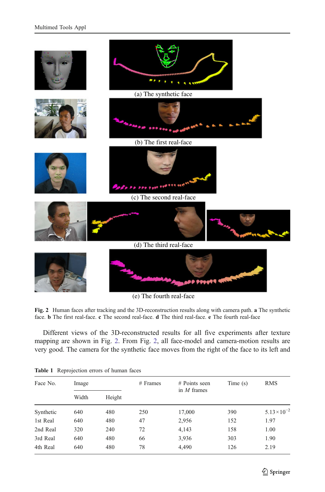<span id="page-10-0"></span>

(e) The fourth real-face

Fig. 2 Human faces after tracking and the 3D-reconstruction results along with camera path. a The synthetic face. **b** The first real-face. **c** The second real-face. **d** The third real-face. **e** The fourth real-face

Different views of the 3D-reconstructed results for all five experiments after texture mapping are shown in Fig. 2. From Fig. 2, all face-model and camera-motion results are very good. The camera for the synthetic face moves from the right of the face to its left and

| Face No.  | Image      |        | # Frames | $#$ Points seen<br>in $M$ frames | Time(s) | <b>RMS</b><br>$5.13 \times 10^{-2}$ |  |
|-----------|------------|--------|----------|----------------------------------|---------|-------------------------------------|--|
| Synthetic | Width      | Height |          |                                  |         |                                     |  |
|           | 640        | 480    | 250      | 17,000                           | 390     |                                     |  |
| 1st Real  | 640        | 480    | 47       | 2,956                            | 152     | 1.97                                |  |
| 2nd Real  | 320        | 240    | 72       | 4,143                            | 158     | 1.00                                |  |
| 3rd Real  | 640        | 480    | 66       | 3,936                            | 303     | 1.90                                |  |
| 4th Real  | 480<br>640 |        | 78       | 4,490                            | 126     | 2.19                                |  |

|  | <b>Table 1</b> Reprojection errors of human faces |  |  |  |
|--|---------------------------------------------------|--|--|--|
|--|---------------------------------------------------|--|--|--|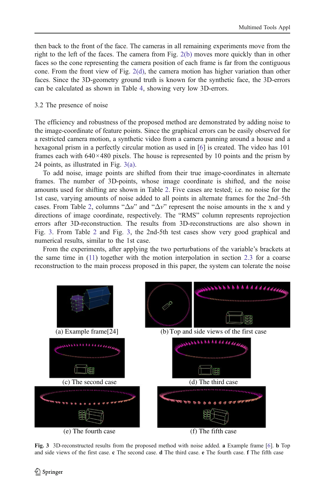<span id="page-11-0"></span>then back to the front of the face. The cameras in all remaining experiments move from the right to the left of the faces. The camera from Fig. [2\(b\)](#page-10-0) moves more quickly than in other faces so the cone representing the camera position of each frame is far from the contiguous cone. From the front view of Fig. [2\(d\)](#page-10-0), the camera motion has higher variation than other faces. Since the 3D-geometry ground truth is known for the synthetic face, the 3D-errors can be calculated as shown in Table [4](#page-14-0), showing very low 3D-errors.

# 3.2 The presence of noise

The efficiency and robustness of the proposed method are demonstrated by adding noise to the image-coordinate of feature points. Since the graphical errors can be easily observed for a restricted camera motion, a synthetic video from a camera panning around a house and a hexagonal prism in a perfectly circular motion as used in [\[6\]](#page-19-0) is created. The video has 101 frames each with  $640 \times 480$  pixels. The house is represented by 10 points and the prism by 24 points, as illustrated in Fig. 3(a).

To add noise, image points are shifted from their true image-coordinates in alternate frames. The number of 3D-points, whose image coordinate is shifted, and the noise amounts used for shifting are shown in Table [2](#page-12-0). Five cases are tested; i.e. no noise for the 1st case, varying amounts of noise added to all points in alternate frames for the 2nd–5th cases. From Table [2,](#page-12-0) columns " $\Delta u$ " and " $\Delta v$ " represent the noise amounts in the x and y directions of image coordinate, respectively. The "RMS" column represents reprojection errors after 3D-reconstruction. The results from 3D-reconstructions are also shown in Fig. 3. From Table [2](#page-12-0) and Fig. 3, the 2nd-5th test cases show very good graphical and numerical results, similar to the 1st case.

From the experiments, after applying the two perturbations of the variable's brackets at the same time in  $(11)$  $(11)$  $(11)$  together with the motion interpolation in section [2.3](#page-6-0) for a coarse reconstruction to the main process proposed in this paper, the system can tolerate the noise



Fig. 3 3D-reconstructed results from the proposed method with noise added. a Example frame [[6\]](#page-19-0). b Top and side views of the first case. c The second case. d The third case. e The fourth case. f The fifth case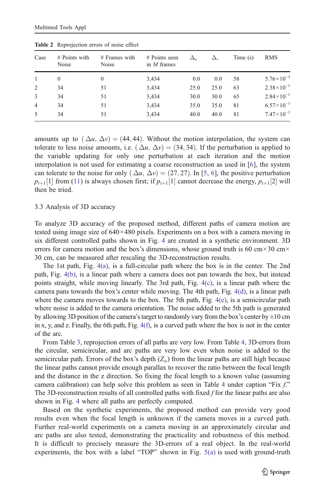| Case           | $#$ Points with<br>Noise | $#$ Frames with<br>Noise | # Points seen<br>in $M$ frames | $\Delta_{\rm u}$ | Δ.,  | Time(s) | <b>RMS</b>            |
|----------------|--------------------------|--------------------------|--------------------------------|------------------|------|---------|-----------------------|
|                | $\Omega$                 | $\Omega$                 | 3,434                          | 0.0              | 0.0  | 58      | $5.76 \times 10^{-3}$ |
| 2              | 34                       | 51                       | 3,434                          | 25.0             | 25.0 | 63      | $2.38 \times 10^{-1}$ |
| 3              | 34                       | 51                       | 3,434                          | 30.0             | 30.0 | 65      | $2.84 \times 10^{-1}$ |
| $\overline{4}$ | 34                       | 51                       | 3,434                          | 35.0             | 35.0 | 81      | $6.57 \times 10^{-1}$ |
| 5              | 34                       | 51                       | 3,434                          | 40.0             | 40.0 | 81      | $7.47 \times 10^{-1}$ |

<span id="page-12-0"></span>Table 2 Reprojection errors of noise effect

amounts up to  $(\Delta u, \Delta v) = (44, 44)$ . Without the motion interpolation, the system can tolerate to less noise amounts, i.e.  $(\Delta u, \Delta v) = (34, 34)$ . If the perturbation is applied to the variable updating for only one perturbation at each iteration and the motion interpolation is not used for estimating a coarse reconstruction as used in [[6\]](#page-19-0), the system can tolerate to the noise for only  $(\Delta u, \Delta v) = (27, 27)$ . In [\[5](#page-19-0), [6](#page-19-0)], the positive perturbation  $p_{t+1}[1]$  from [\(11\)](#page-5-0) is always chosen first; if  $p_{t+1}[1]$  cannot decrease the energy,  $p_{t+1}[2]$  will then be tried.

#### 3.3 Analysis of 3D accuracy

To analyze 3D accuracy of the proposed method, different paths of camera motion are tested using image size of  $640 \times 480$  pixels. Experiments on a box with a camera moving in six different controlled paths shown in Fig. [4](#page-13-0) are created in a synthetic environment. 3D errors for camera motion and the box's dimensions, whose ground truth is 60 cm $\times$ 30 cm $\times$ 30 cm, can be measured after rescaling the 3D-reconstruction results.

The 1st path, Fig. [4\(a\)](#page-13-0), is a full-circular path where the box is in the center. The 2nd path, Fig. [4\(b\)](#page-13-0), is a linear path where a camera does not pan towards the box, but instead points straight, while moving linearly. The 3rd path, Fig. [4\(c\)](#page-13-0), is a linear path where the camera pans towards the box's center while moving. The 4th path, Fig.  $4(d)$ , is a linear path where the camera moves towards to the box. The 5th path, Fig.  $4(e)$ , is a semicircular path where noise is added to the camera orientation. The noise added to the 5th path is generated by allowing 3D position of the camera's target to randomly vary from the box's center by  $\pm 10$  cm in x, y, and z. Finally, the 6th path, Fig. [4\(f\),](#page-13-0) is a curved path where the box is not in the center of the arc.

From Table [3,](#page-14-0) reprojection errors of all paths are very low. From Table [4,](#page-14-0) 3D-errors from the circular, semicircular, and arc paths are very low even when noise is added to the semicircular path. Errors of the box's depth  $(Z_w)$  from the linear paths are still high because the linear paths cannot provide enough parallax to recover the ratio between the focal length and the distance in the z direction. So fixing the focal length to a known value (assuming camera calibration) can help solve this problem as seen in Table [4](#page-14-0) under caption "Fix f." The 3D-reconstruction results of all controlled paths with fixed  $f$  for the linear paths are also shown in Fig. [4](#page-13-0) where all paths are perfectly computed.

Based on the synthetic experiments, the proposed method can provide very good results even when the focal length is unknown if the camera moves in a curved path. Further real-world experiments on a camera moving in an approximately circular and arc paths are also tested, demonstrating the practicality and robustness of this method. It is difficult to precisely measure the 3D-errors of a real object. In the real-world experiments, the box with a label "TOP" shown in Fig. [5\(a\)](#page-15-0) is used with ground-truth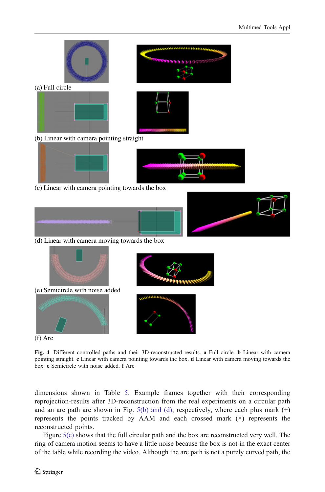<span id="page-13-0"></span>





(b) Linear with camera pointing straight





(c) Linear with camera pointing towards the box



(d) Linear with camera moving towards the box



Fig. 4 Different controlled paths and their 3D-reconstructed results. a Full circle. b Linear with camera pointing straight. c Linear with camera pointing towards the box. d Linear with camera moving towards the box. e Semicircle with noise added. f Arc

dimensions shown in Table [5](#page-15-0). Example frames together with their corresponding reprojection-results after 3D-reconstruction from the real experiments on a circular path and an arc path are shown in Fig.  $5(b)$  and (d), respectively, where each plus mark  $(+)$ represents the points tracked by AAM and each crossed mark (×) represents the reconstructed points.

Figure  $5(c)$  shows that the full circular path and the box are reconstructed very well. The ring of camera motion seems to have a little noise because the box is not in the exact center of the table while recording the video. Although the arc path is not a purely curved path, the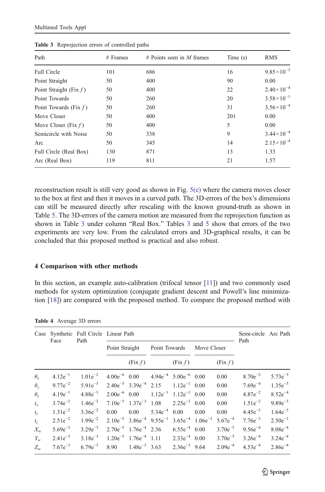| Path                      | $#$ Frames | # Points seen in M frames | Time $(s)$ | <b>RMS</b>            |  |
|---------------------------|------------|---------------------------|------------|-----------------------|--|
| <b>Full Circle</b>        | 101        | 686                       | 16         | $9.85 \times 10^{-3}$ |  |
| Point Straight            | 50         | 400                       | 90         | 0.00                  |  |
| Point Straight (Fix $f$ ) | 50         | 400                       | 22         | $2.40\times10^{-4}$   |  |
| Point Towards             | 50         | 260                       | 20         | $3.58 \times 10^{-1}$ |  |
| Point Towards (Fix $f$ )  | 50         | 260                       | 31         | $3.56 \times 10^{-4}$ |  |
| Move Closer               | 50         | 400                       | 201        | 0.00                  |  |
| Move Closer (Fix $f$ )    | 50         | 400                       | 5          | 0.00                  |  |
| Semicircle with Noise     | 50         | 338                       | 9          | $3.44 \times 10^{-4}$ |  |
| Arc                       | 50         | 345                       | 14         | $2.15 \times 10^{-4}$ |  |
| Full Circle (Real Box)    | 130        | 871                       | 13         | 1.33                  |  |
| Arc (Real Box)            | 119        | 811                       | 21         | 1.57                  |  |

<span id="page-14-0"></span>Table 3 Reprojection errors of controlled paths

reconstruction result is still very good as shown in Fig. [5\(e\)](#page-15-0) where the camera moves closer to the box at first and then it moves in a curved path. The 3D-errors of the box's dimensions can still be measured directly after rescaling with the known ground-truth as shown in Table [5.](#page-15-0) The 3D-errors of the camera motion are measured from the reprojection function as shown in Table 3 under column "Real Box." Tables 3 and [5](#page-15-0) show that errors of the two experiments are very low. From the calculated errors and 3D-graphical results, it can be concluded that this proposed method is practical and also robust.

#### 4 Comparison with other methods

In this section, an example auto-calibration (trifocal tensor [[11](#page-19-0)]) and two commonly used methods for system optimization (conjugate gradient descent and Powell's line minimization [\[18\]](#page-19-0)) are compared with the proposed method. To compare the proposed method with

| Case         | Face         | Synthetic Full Circle Linear Path<br>Path |                   |                                          | Semi-circle Arc Path<br>Path |                                |                            |              |              |              |
|--------------|--------------|-------------------------------------------|-------------------|------------------------------------------|------------------------------|--------------------------------|----------------------------|--------------|--------------|--------------|
|              |              |                                           | Point Straight    |                                          | Point Towards                |                                | Move Closer                |              |              |              |
|              |              |                                           |                   | (Fix f)                                  |                              | (Fix f)                        |                            | (Fix f)      |              |              |
| $\theta_{x}$ | $4.12e^{-1}$ | $1.01e^{-2}$                              | $4.00e^{-6}$ 0.00 |                                          |                              | $4.94e^{-4}$ $5.00e^{-6}$ 0.00 |                            | 0.00         | $8.70e^{-2}$ | $5.73e^{-3}$ |
| $\theta_v$   | $9.77e^{-2}$ | $5.91e^{-3}$                              |                   | $2.40e^{-5}$ $3.39e^{-4}$ $2.15$         |                              | $1.12e^{-1}$ 0.00              |                            | 0.00         | $7.69e^{-4}$ | $1.35e^{-3}$ |
| $\theta_z$   | $4.19e^{-1}$ | $4.88e^{-3}$                              | $2.00e^{-6}$ 0.00 |                                          |                              | $1.12e^{-1}$ $1.12e^{-1}$ 0.00 |                            | 0.00         | $4.87e^{-2}$ | $8.52e^{-4}$ |
| $t_{x}$      | $3.74e^{-2}$ | $1.46e^{-2}$                              |                   | $7.10e^{-5}$ $1.37e^{-3}$ $1.08$         |                              | $2.25e^{-3}$ 0.00              |                            | 0.00         | $1.51e^{-2}$ | $9.89e^{-3}$ |
| $t_{\rm v}$  | $1.31e^{-2}$ | $3.36e^{-2}$                              | 0.00              | 0.00                                     | $5.34e^{-4}$                 | 0.00                           | 0.00                       | 0.00         | $4.45e^{-3}$ | $1.64e^{-3}$ |
| $t_z$        | $2.51e^{-2}$ | $1.99e^{-2}$                              |                   | $2.10e^{-5}$ 3.86 $e^{-4}$ 9.55 $e^{-1}$ |                              |                                | $3.65e^{-4}$ 1.06 $e^{-3}$ | $5.67e^{-4}$ | $7.76e^{-3}$ | $2.50e^{-3}$ |
| $X_{w}$      | $5.69e^{-3}$ | $3.29e^{-3}$                              |                   | $2.70e^{-5}$ 1.76 $e^{-4}$ 2.36          |                              | $6.55e^{-4}$ 0.00              |                            | $3.70e^{-5}$ | $9.56e^{-4}$ | $8.08e^{-4}$ |
| $Y_{w}$      | $2.41e^{-3}$ | $3.18e^{-3}$                              |                   | $1.20e^{-5}$ $1.76e^{-4}$ 1.11           |                              | $2.33e^{-4}$ 0.00              |                            | $3.70e^{-5}$ | $3.26e^{-4}$ | $3.24e^{-4}$ |
| $Z_{w}$      | $7.67e^{-3}$ | $6.79e^{-3}$                              | 8.90              | $1.48e^{-3}$ 3.63                        |                              | $2.36e^{-3}$ 9.64              |                            | $2.09e^{-4}$ | $4.53e^{-4}$ | $2.86e^{-4}$ |

Table 4 Average 3D errors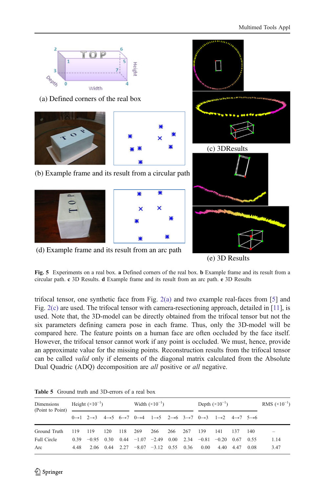<span id="page-15-0"></span>

(d) Example frame and its result from an arc path

(e) 3D Results

Fig. 5 Experiments on a real box. a Defined corners of the real box. b Example frame and its result from a circular path. c 3D Results. d Example frame and its result from an arc path. e 3D Results

trifocal tensor, one synthetic face from Fig. [2\(a\)](#page-10-0) and two example real-faces from [[5\]](#page-19-0) and Fig. [2\(c\)](#page-10-0) are used. The trifocal tensor with camera-resectioning approach, detailed in [\[11\]](#page-19-0), is used. Note that, the 3D-model can be directly obtained from the trifocal tensor but not the six parameters defining camera pose in each frame. Thus, only the 3D-model will be compared here. The feature points on a human face are often occluded by the face itself. However, the trifocal tensor cannot work if any point is occluded. We must, hence, provide an approximate value for the missing points. Reconstruction results from the trifocal tensor can be called *valid* only if elements of the diagonal matrix calculated from the Absolute Dual Quadric (ADQ) decomposition are *all* positive or *all* negative.

| Dimensions<br>(Point to Point) — | Height $(\times 10^{-1})$ |                                                                                                                                                                                                             |     | Width $(\times 10^{-1})$ |                         |  | Depth $(\times 10^{-1})$ |  |                                                          | RMS $(\times 10^{-1})$ |  |       |      |
|----------------------------------|---------------------------|-------------------------------------------------------------------------------------------------------------------------------------------------------------------------------------------------------------|-----|--------------------------|-------------------------|--|--------------------------|--|----------------------------------------------------------|------------------------|--|-------|------|
|                                  |                           | $0\rightarrow 1$ $2\rightarrow 3$ $4\rightarrow 5$ $6\rightarrow 7$ $0\rightarrow 4$ $1\rightarrow 5$ $2\rightarrow 6$ $3\rightarrow 7$ $0\rightarrow 3$ $1\rightarrow 2$ $4\rightarrow 7$ $5\rightarrow 6$ |     |                          |                         |  |                          |  |                                                          |                        |  |       |      |
| Ground Truth                     | 119 119                   |                                                                                                                                                                                                             | 120 |                          | 118 269 266 266 267 139 |  |                          |  |                                                          | 141 137                |  | - 140 |      |
| <b>Full Circle</b>               |                           | $0.39 -0.95$ $0.30$ $0.44 -1.07 -2.49$ $0.00$ $2.34 -0.81 -0.20$ $0.67$ $0.55$                                                                                                                              |     |                          |                         |  |                          |  |                                                          |                        |  |       | 1.14 |
| Arc                              | 4.48                      |                                                                                                                                                                                                             |     |                          |                         |  |                          |  | 2.06 0.44 2.27 -8.07 -3.12 0.55 0.36 0.00 4.40 4.47 0.08 |                        |  |       | 3.47 |

Table 5 Ground truth and 3D-errors of a real box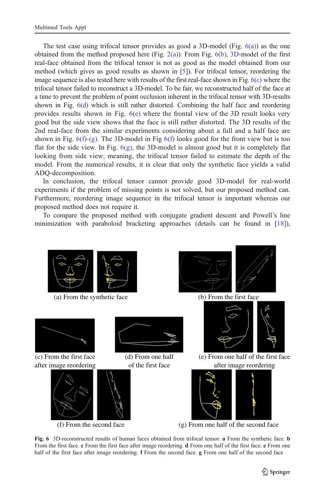The test case using trifocal tensor provides as good a 3D-model (Fig.  $6(a)$ ) as the one obtained from the method proposed here (Fig. [2\(a\)](#page-10-0)). From Fig.  $6(b)$ , [3D](#page-11-0)-model of the first real-face obtained from the trifocal tensor is not as good as the model obtained from our method (which gives as good results as shown in [[5](#page-19-0)]). For trifocal tensor, reordering the image sequence is also tested here with results of the first real-face shown in Fig. 6(c) where the trifocal tensor failed to reconstruct a 3D-model. To be fair, we reconstructed half of the face at a time to prevent the problem of point occlusion inherent in the trifocal tensor with 3D-results shown in Fig. 6(d) which is still rather distorted. Combining the half face and reordering provides results shown in Fig. 6(e) where the frontal view of the 3D result looks very good but the side view shows that the face is still rather distorted. The 3D results of the 2nd real-face from the similar experiments considering about a full and a half face are shown in Fig.  $6(f)-(g)$ . The 3D-model in Fig  $6(f)$  looks good for the front view but is too flat for the side view. In Fig.  $6(g)$ , the 3D-model is almost good but it is completely flat looking from side view; meaning, the trifocal tensor failed to estimate the depth of the model. From the numerical results, it is clear that only the synthetic face yields a valid ADQ-decomposition.

In conclusion, the trifocal tensor cannot provide good 3D-model for real-world experiments if the problem of missing points is not solved, but our proposed method can. Furthermore, reordering image sequence in the trifocal tensor is important whereas our proposed method does not require it.

To compare the proposed method with conjugate gradient descent and Powell's line minimization with paraboloid bracketing approaches (details can be found in [[18](#page-19-0)]),



Fig. 6 3D-reconstructed results of human faces obtained from trifocal tensor. a From the synthetic face. b From the first face. c From the first face after image reordering. d From one half of the first face. e From one half of the first face after image reordering. **f** From the second face. **g** From one half of the second face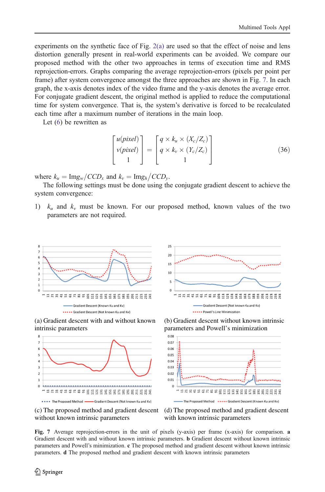<span id="page-17-0"></span>experiments on the synthetic face of Fig.  $2(a)$  are used so that the effect of noise and lens distortion generally present in real-world experiments can be avoided. We compare our proposed method with the other two approaches in terms of execution time and RMS reprojection-errors. Graphs comparing the average reprojection-errors (pixels per point per frame) after system convergence amongst the three approaches are shown in Fig. 7. In each graph, the x-axis denotes index of the video frame and the y-axis denotes the average error. For conjugate gradient descent, the original method is applied to reduce the computational time for system convergence. That is, the system's derivative is forced to be recalculated each time after a maximum number of iterations in the main loop.

Let ([6](#page-3-0)) be rewritten as

$$
\begin{bmatrix}\nu(pixel) \\
v(pixel) \\
1\n\end{bmatrix} = \begin{bmatrix}\nq \times k_u \times (X_c/Z_c) \\
q \times k_v \times (Y_c/Z_c) \\
1\n\end{bmatrix}
$$
\n(36)

where  $k_u = \text{Img}_w / CCD_x$  and  $k_v = \text{Img}_h / CCD_y$ .<br>The following settings must be done using the

The following settings must be done using the conjugate gradient descent to achieve the system convergence:

1)  $k_u$  and  $k_v$  must be known. For our proposed method, known values of the two parameters are not required.







(c) The proposed method and gradient descent without known intrinsic parameters



(b) Gradient descent without known intrinsic parameters and Powell's minimization





Fig. 7 Average reprojection-errors in the unit of pixels (y-axis) per frame (x-axis) for comparison. a Gradient descent with and without known intrinsic parameters. b Gradient descent without known intrinsic parameters and Powell's minimization. c The proposed method and gradient descent without known intrinsic parameters. d The proposed method and gradient descent with known intrinsic parameters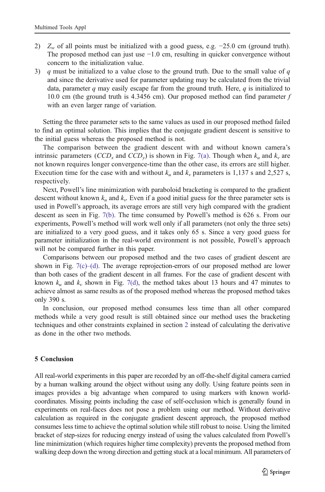- 2)  $Z_w$  of all points must be initialized with a good guess, e.g.  $-25.0$  cm (ground truth). The proposed method can just use −1.0 cm, resulting in quicker convergence without concern to the initialization value.
- 3) q must be initialized to a value close to the ground truth. Due to the small value of q and since the derivative used for parameter updating may be calculated from the trivial data, parameter q may easily escape far from the ground truth. Here,  $q$  is initialized to 10.0 cm (the ground truth is 4.3456 cm). Our proposed method can find parameter  $f$ with an even larger range of variation.

Setting the three parameter sets to the same values as used in our proposed method failed to find an optimal solution. This implies that the conjugate gradient descent is sensitive to the initial guess whereas the proposed method is not.

The comparison between the gradient descent with and without known camera's intrinsic parameters (CCD<sub>x</sub> and CCD<sub>y</sub>) is shown in Fig. [7\(a\)](#page-17-0). Though when  $k_u$  and  $k_v$  are not known requires longer convergence-time than the other case, its errors are still higher. Execution time for the case with and without  $k_u$  and  $k_v$  parameters is 1,137 s and 2,527 s, respectively.

Next, Powell's line minimization with paraboloid bracketing is compared to the gradient descent without known  $k_u$  and  $k_v$ . Even if a good initial guess for the three parameter sets is used in Powell's approach, its average errors are still very high compared with the gradient descent as seen in Fig. [7\(b\)](#page-17-0). The time consumed by Powell's method is 626 s. From our experiments, Powell's method will work well only if all parameters (not only the three sets) are initialized to a very good guess, and it takes only 65 s. Since a very good guess for parameter initialization in the real-world environment is not possible, Powell's approach will not be compared further in this paper.

Comparisons between our proposed method and the two cases of gradient descent are shown in Fig.  $7(c)$ –(d). The average reprojection-errors of our proposed method are lower than both cases of the gradient descent in all frames. For the case of gradient descent with known  $k_u$  and  $k_v$  shown in Fig. [7\(d\),](#page-17-0) the method takes about 13 hours and 47 minutes to achieve almost as same results as of the proposed method whereas the proposed method takes only 390 s.

In conclusion, our proposed method consumes less time than all other compared methods while a very good result is still obtained since our method uses the bracketing techniques and other constraints explained in section [2](#page-2-0) instead of calculating the derivative as done in the other two methods.

# 5 Conclusion

All real-world experiments in this paper are recorded by an off-the-shelf digital camera carried by a human walking around the object without using any dolly. Using feature points seen in images provides a big advantage when compared to using markers with known worldcoordinates. Missing points including the case of self-occlusion which is generally found in experiments on real-faces does not pose a problem using our method. Without derivative calculation as required in the conjugate gradient descent approach, the proposed method consumes less time to achieve the optimal solution while still robust to noise. Using the limited bracket of step-sizes for reducing energy instead of using the values calculated from Powell's line minimization (which requires higher time complexity) prevents the proposed method from walking deep down the wrong direction and getting stuck at a local minimum. All parameters of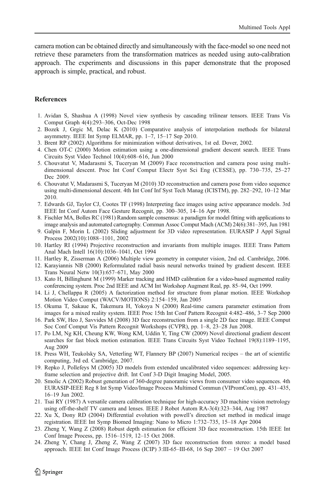<span id="page-19-0"></span>camera motion can be obtained directly and simultaneously with the face-model so one need not retrieve these parameters from the transformation matrices as needed using auto-calibration approach. The experiments and discussions in this paper demonstrate that the proposed approach is simple, practical, and robust.

### **References**

- 1. Avidan S, Shashua A (1998) Novel view synthesis by cascading trilinear tensors. IEEE Trans Vis Comput Graph 4(4):293–306, Oct-Dec 1998
- 2. Bozek J, Grgic M, Delac K (2010) Comparative analysis of interpolation methods for bilateral asymmetry. IEEE Int Symp ELMAR, pp. 1–7, 15–17 Sep 2010.
- 3. Brent RP (2002) Algorithms for minimization without derivatives, 1st ed. Dover, 2002.
- 4. Chen OT-C (2000) Motion estimation using a one-dimensional gradient descent search. IEEE Trans Circuits Syst Video Technol 10(4):608–616, Jun 2000
- 5. Chouvatut V, Madarasmi S, Tuceryan M (2009) Face reconstruction and camera pose using multidimensional descent. Proc Int Conf Comput Electr Syst Sci Eng (CESSE), pp. 730–735, 25–27 Dec 2009.
- 6. Chouvatut V, Madarasmi S, Tuceryan M (2010) 3D reconstruction and camera pose from video sequence using multi-dimensional descent. 4th Int Conf Inf Syst Tech Manag (ICISTM), pp. 282–292, 10–12 Mar 2010.
- 7. Edwards GJ, Taylor CJ, Cootes TF (1998) Interpreting face images using active appearance models. 3rd IEEE Int Conf Autom Face Gesture Recognit, pp. 300–305, 14–16 Apr 1998.
- 8. Fischler MA, Bolles RC (1981) Random sample consensus: a paradigm for model fitting with applications to image analysis and automated cartography. Commun Assoc Comput Mach (ACM) 24(6):381–395, Jun 1981
- 9. Galpin F, Morin L (2002) Sliding adjustment for 3D video representation. EURASIP J Appl Signal Process 2002(10):1088–1101, 2002
- 10. Hartley RI (1994) Projective reconstruction and invariants from multiple images. IEEE Trans Pattern Anal Mach Intell 16(10):1036–1041, Oct 1994
- 11. Hartley R, Zisserman A (2006) Multiple view geometry in computer vision, 2nd ed. Cambridge, 2006.
- 12. Karayiannis NB (2000) Reformulated radial basis neural networks trained by gradient descent. IEEE Trans Neural Netw 10(3):657–671, May 2000
- 13. Kato H, Billinghurst M (1999) Marker tracking and HMD calibration for a video-based augmented reality conferencing system. Proc 2nd IEEE and ACM Int Workshop Augment Real, pp. 85–94, Oct 1999.
- 14. Li J, Chellappa R (2005) A factorization method for structure from planar motion. IEEE Workshop Motion Video Comput (WACV/MOTIONS) 2:154–159, Jan 2005
- 15. Okuma T, Sakaue K, Takemura H, Yokoya N (2000) Real-time camera parameter estimation from images for a mixed reality system. IEEE Proc 15th Int Conf Pattern Recognit 4:482–486, 3–7 Sep 2000
- 16. Park SW, Heo J, Savvides M (2008) 3D face reconstruction from a single 2D face image. IEEE Comput Soc Conf Comput Vis Pattern Recognit Workshops (CVPR), pp. 1–8, 23–28 Jun 2008.
- 17. Po LM, Ng KH, Cheung KW, Wong KM, Uddin Y, Ting CW (2009) Novel directional gradient descent searches for fast block motion estimation. IEEE Trans Circuits Syst Video Technol 19(8):1189–1195, Aug 2009
- 18. Press WH, Teukolsky SA, Vetterling WT, Flannery BP (2007) Numerical recipes the art of scientific computing, 3rd ed. Cambridge, 2007.
- 19. Repko J, Pollefeys M (2005) 3D models from extended uncalibrated video sequences: addressing keyframe selection and projective drift. Int Conf 3-D Digit Imaging Model, 2005.
- 20. Smolic A (2002) Robust generation of 360-degree panoramic views from consumer video sequences. 4th EURASIP-IEEE Reg 8 Int Symp Video/Image Process Multimed Commun (VIPromCom), pp. 431–435, 16–19 Jun 2002.
- 21. Tsai RY (1987) A versatile camera calibration technique for high-accuracy 3D machine vision metrology using off-the-shelf TV camera and lenses. IEEE J Robot Autom RA-3(4):323–344, Aug 1987
- 22. Xu X, Dony RD (2004) Differential evolution with powell's direction set method in medical image registration. IEEE Int Symp Biomed Imaging: Nano to Micro 1:732–735, 15–18 Apr 2004
- 23. Zheng Y, Wang Z (2008) Robust depth estimation for efficient 3D face reconstruction. 15th IEEE Int Conf Image Process, pp. 1516–1519, 12–15 Oct 2008.
- 24. Zheng Y, Chang J, Zheng Z, Wang Z (2007) 3D face reconstruction from stereo: a model based approach. IEEE Int Conf Image Process (ICIP) 3:III-65–III-68, 16 Sep 2007 – 19 Oct 2007